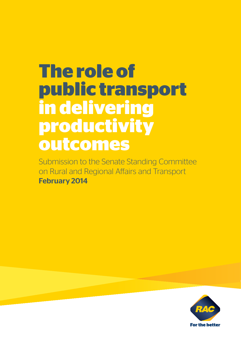# **The role of public transport in delivering productivity outcomes**

Submission to the Senate Standing Committee on Rural and Regional Affairs and Transport February 2014

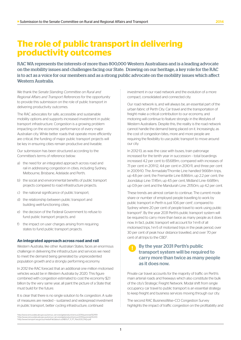# **The role of public transport in delivering productivity outcomes**

RAC WA represents the interests of more than 800,000 Western Australians and is a leading advocate on the mobility issues and challenges facing our State. Drawing on our heritage, a key role for the RAC is to act as a voice for our members and as a strong public advocate on the mobility issues which affect Western Australia.

We thank the *Senate Standing Committee on Rural and Regional Affairs and Transport References* for the opportunity to provide this submission on the role of public transport in delivering productivity outcomes.

The RAC advocates for safe, accessible and sustainable mobility options and supports increased investment in public transport infrastructure. Congestion is a growing problem impacting on the economic performance of every major Australian city. While better roads that operate more efficiently are critical, the funding of major public transport projects will be key in ensuring cities remain productive and liveable.

Our submission has been structured according to the Committee's terms of reference below:

- a) the need for an integrated approach across road and rail in addressing congestion in cities, including Sydney, Melbourne, Brisbane, Adelaide and Perth;
- b) the social and environmental benefits of public transport projects compared to road infrastructure projects;
- c) the national significance of public transport;
- d) the relationship between public transport and building well-functioning cities;
- e) the decision of the Federal Government to refuse to fund public transport projects; and
- f) the impact on user charges arising from requiring states to fund public transport projects.

#### **An integrated approach across road and rail**

Western Australia, like other Australian States, faces an enormous challenge in delivering the infrastructure and services we need to meet the demand being generated by unprecedented population growth and a strongly performing economy.

In 2012 the RAC forecast that an additional one million motorised vehicles would be in Western Australia by 2020. This figure combined with congestion estimated to cost the economy \$2.1 billion by the very same year, all paint the picture of a State that must build for the future.

It is clear that there is no single solution to fix congestion. A suite of measures are needed – sustained and widespread investment in public transport, better cycling infrastructure, continued

investment in our road network and the evolution of a more compact, consolidated and connected city.

Our road network is, and will always be, an essential part of the urban fabric of Perth City. Car travel and the transportation of freight make a critical contribution to our economy, and motoring will continue to feature strongly in the lifestyles of Western Australians. Despite this, the reality is the road network cannot handle the demand being placed on it. Increasingly, as the cost of congestion bites, more and more people are requiring the flexibility to use public transport to move around our city.

In 2012-13, as was the case with buses, train patronage increased for the tenth year in succession – total boardings increased 4.2 per cent to 65.689m, compared with increases of 7.1 per cent in 2011-12, 4.4 per cent in 2010-11, and three per cent in 2009-10. The Armadale/Thornlie Line handled 9.668m trips, up 4.8 per cent; the Fremantle Line 8.866m, up 2.2 per cent; the Joondalup Line: 17.45m, up 4.5 per cent, Midland Line: 6.689m, up 0.9 per cent and the Mandurah Line: 21.150m, up 4.2 per cent.

These trends are almost certain to continue. The current mode share or number of employed people travelling to work by public transport in Perth is just 10.6 per cent<sup>1</sup>, compared to Sydney where 20 per cent of people travel to work using public transport<sup>2</sup>. By the year 2031 Perth's public transport system will be required to carry more than twice as many people as it does now. In fact, public transport will account for 1-in-8 of all motorised trips, 1-in-5 of motorised trips in the peak period, over 30 per cent of peak hour distance travelled, and over 70 per cent of all trips to the CBD<sup>3</sup>. .

# By the year 2031 Perth's public transport system will be required to carry more than twice as many people as it does now.

Private car travel accounts for the majority of traffic on Perth's main arterial roads and freeways which also constitute the bulk of the city's Strategic Freight Network. Modal shift from single occupancy car travel to public transport is an essential strategy to keep freight and business services moving through our city.

The second RAC BusinessWise–CCI Congestion Survey highlights the impact of traffic congestion on the profitability and

'http://www.censusdata.abs.gov.au/census\_services/getproduct/census/2011/quickstat/5GPER<br><sup>2</sup>http://www.censusdata.abs.gov.au/census\_services/getproduct/census/2011/quickstat/1GSYD<br><sup>3</sup>http://www.transport.wa.gov.au/mediaFil

1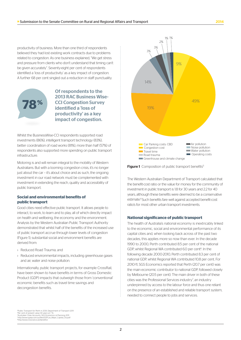productivity of business. More than one third of respondents believed they had lost existing work contracts due to problems related to congestion. As one business explained, "We get stress and pressure from clients who don't understand that timing can't be given accurately". Seventy-eight per cent of respondents identified a 'loss of productivity' as a key impact of congestion. A further 68 per cent singled out a reduction in staff punctuality.



Of respondents to the 2013 RAC Business Wise-CCI Congestion Survey identified a 'loss of productivity' as a key impact of congestion.

Whilst the BusinessWise-CCI respondents supported road investments (86%), intelligent transport technology (83%), better coordination of road works (81%), more than half (57%) of respondents also supported more spending on public transport infrastructure.

Motoring is and will remain integral to the mobility of Western Australians. But with a looming congestion crisis, it's no longer just about the car - it's about choice and as such, the ongoing investment in our road network must be complemented with investment in extending the reach, quality and accessibility of public transport.

#### **Social and environmental benefits of public transport**

Good cities need effective public transport. It allows people to interact, to work, to learn and to play, all of which directly impact on health and wellbeing, the economy and the environment. Analysis by the Western Australian Public Transport Authority demonstrated that whilst half of the benefits of the increased use of public transport accrue through lower levels of congestion (Figure 1), substantial social and environment benefits are derived from:

- › Reduced Road Trauma; and
- › Reduced environmental impacts, including greenhouse gases and air, water and noise pollution.

Internationally, public transport projects, for example CrossRail, have been shown to have benefits in terms of Gross Domestic Product (GDP) impacts that outweigh those from 'conventional' economic benefits such as travel time savings and decongestion benefits.



Figure 1 Composition of public transport benefits<sup>5</sup>

The Western Australian Department of Transport calculated that the benefit-cost ratio or the value for money for the community of investment in public transport is 1.8 for 30 years and 2.2 for 40 years, although these benefits were deemed to be a conservative estimate.4 Such benefits fare well against accepted benefit-cost ratio's for most other urban transport investments.

#### **National significance of public transport**

The health of Australia's national economy is inextricably linked to the economic, social and environmental performance of its capital cities and, when looking back across of the past two decades, this applies more so now than ever. In the decade 1990 to 2000, Perth contributed 8.5 per cent of the national GDP, whilst Regional WA contributed 6.0 per cent<sup>6</sup>. In the following decade 2000-2010, Perth contributed 8.3 per cent of national GDP, whilst Regional WA contributed 10.8 per cent. For 2010-11, SGS Economics reported that Perth (20.7 per cent) was the main economic contributor to national GDP, followed closely by Melbourne (20.5 per cent). The main driver in both of these cities was the Professional Services industry<sup>7</sup>, an industry underpinned by access to the labour force and thus one reliant on the presence of an established and reliable transport system, needed to connect people to jobs and services.

4 Public Transport for Perth in 2031, Department of Transport 2011 <sup>sp</sup>er cent of present value 30 years at 7 %<br><sup>6</sup>Australian Cities Accounts, SGS Economics & Planning 2011<br><sup>7</sup>http://www.sgsep.com.au/files/GDP\_by\_Major\_Capital\_City.pdf<br><sup>8</sup>http://www.crossrail.co.uk/benefits/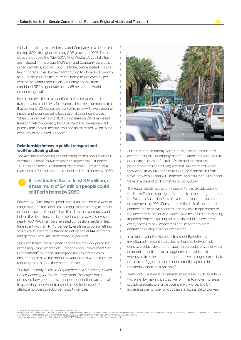Global consulting firm McKinsey and Company have identified the top 600 cities globally using GDP growth to 2025. These cities are dubbed the "City 600". All of Australia's capital cities are included in this group. McKinsey and Company assert that urban growth is, and will continue to be, concentrated in just a few hundreds cities. By their contribution to global GDP growth to 2025 these 600 cities, currently home to just over 20 per cent of the world's population, will nearly double their combined GDP to generate nearly 65 per cent of world economic growth.

Internationally, cities have identified the link between public transport and productivity for example, it has been demonstrated that London's 100-kilometre CrossRail Scheme will have a national impact and is considered to be a nationally significant project. When Crossrail opens in 2018, it will increase London's rail-based transport network capacity by 10 per cent and dramatically cut journey times across the city. It will add an estimated £42bn to the economy of the United Kingdom.<sup>8</sup>

#### **Relationship between public transport and well-functioning cities**

The ABS has released figures indicating Perth's population will overtake Brisbane as Australia's third largest city just before 20309 . In addition it is estimated that at least 3.9 million, or a maximum of 5.4 million people, could call Perth home by 2050.

## It is estimated that at least 3.9 million, or a maximum of 5.4 million people could call Perth home by 2050.

On average, Perth drivers spend more than three hours a week in congestion, and the social cost of congestion is starting to impact on those aspects of people's lives that allow the community and indeed the city to function in the best possible way. A survey of nearly 700 RAC members revealed congestion results in less time spent with family (46 per cent), less time to do something you enjoy (59 per cent), having to get up earlier (44 per cent) and getting home later from work (36 per cent).

Since most trips taken in peak periods are for work purposes increasing Employment Self Sufficiency and Employment Self Containment<sup>10</sup> in Perth's sub-regions are key strategies to ensure people have the option to work local to where they live, reducing the distance they need to travel.

The RAC recently released *Employment Self-Sufficiency Health Check: Planning for Perth's Congestion Challenges* which discussed how good public transport connections are critical to achieving the level of transport accessibility needed to attract employers to suburban activity centres.



Perth residents currently commute significant distances to access their place of employment/education and compared to other capital cities in Australia, Perth had the smallest proportion of residents living within 10 kilometres of where they work/study. Over one third (35%), of residents in Perth travel between 10 and 20 kilometres, and a further 30 per cent travel in excess of 20 kilometres to work/study<sup>11</sup>.

The report identifies that only one of Perth's six sub-regions – the North Eastern sub-region is on track to meet targets set by the Western Australian State Government for more localised employment by 2031. Consequently, the lack of rapid transit connections to activity centres is acting as a major barrier to the decentralisation of workplaces. As a result business is being impeded from capitalising on benefits including lower rent costs, access to new workforces and importantly, from enhancing quality of life for employees.

In a similar vein, the Victorian Transport Portfolio has investigated in recent years the relationship between job density, productivity and transport, in particular a type of wider economic benefit known as agglomeration which exists whenever firms become more productive through proximity to other firms. Agglomeration is not currently captured in traditional benefit cost analysis<sup>12</sup>.

Transport investment can enable an increase in job density in two ways: by making it attractive for firms to move into areas providing access to a large potential workforce, and by increasing the number of jobs that are accessible to workers.

<sup>%</sup>http://www.abc.net.au/pm/content/2013/s3899557.htm?site=coffscoast<br><sup>w</sup>Employment self-containment is a measure that looks at the proportion of residents who work locally. Self-sufficiency is the opposite side of the coin.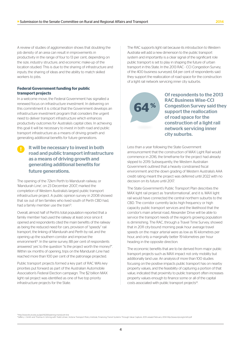A review of studies of agglomeration shows that doubling the job density of an area can result in improvements in productivity in the range of four to 13 per cent, depending on the size, industry structure, and economic make-up of the location studied. This is due to the sharing of infrastructure and inputs; the sharing of ideas and the ability to match skilled workers to jobs.

#### **Federal Government funding for public transport projects**

In a welcome move, the Federal Government has signalled a renewed focus on infrastructure investment. In delivering on this commitment it is critical that the Government develops an infrastructure investment program that considers the urgent need to deliver transport infrastructure which enhances productivity outcomes for Australia's capital cities. In achieving this goal it will be necessary to invest in both road and public transport infrastructure as a means of driving growth and generating additional benefits for future generations.

### It will be necessary to invest in both road and public transport infrastructure as a means of driving growth and generating additional benefits for future generations.

The opening of the 72km Perth to Mandurah railway, or 'Mandurah Line', on 23 December 2007, marked the completion of Western Australia's largest public transport infrastructure project. A public opinion survey in 2008 showed that six out of ten families who lived south of Perth CBD had, had a family member use the train<sup>13</sup>.

Overall, almost half of Perth's total population reported that a family member had used the railway at least once since it opened and respondents cited the main benefits of the railway as being the reduced need for cars, provision of "speedy" rail transport, the linking of Mandurah and Perth by rail, and the opening up the southern corridor and improve the environment<sup>13</sup>. In the same survey, 88 per cent of respondents answered 'yes' to the question "Is the project worth the money?". Within six months of opening, trips on the Mandurah Line had reached more than 100 per cent of the patronage projected.

Public transport projects formed a key part of RAC WA's key priorities put forward as part of the Australian Automobile Association's Federal Election campaign. The \$2 billion MAX light rail project was identified as one of five top priority infrastructure projects for the State.

The RAC supports light rail because its introduction to Western Australia will add a new dimension to the public transport system and importantly is a clear signal of the significant role public transport is set to play in shaping the future of urban transport in this State. In the 2013 RAC - CCI Congestion Survey, of the 400 business surveyed, 64 per cent of respondents said they support the reallocation of road space for the construction of a light rail network servicing inner city suburbs.

**64**

Of respondents to the 2013 RAC Business Wise-CCI Congestion Survey said they support the reallocation of road space for the construction of a light rail network servicing inner city suburbs.

Less than a year following the State Government announcement that the construction of MAX Light Rail would commence in 2016, the timeframe for the project had already slipped to 2019. Subsequently, the Western Australian Government outlined that a heavily constrained fiscal environment and the down grading of Western Australia's AAA credit rating meant the project was deferred until 2022 with no decision on its future until 2017.

The State Government's Public Transport Plan describes the MAX light rail project as 'transformational', and it is. MAX light rail would have connected the central northern suburbs to the CBD. The corridor currently lacks high frequency or high capacity public transport services and the likelihood that the corridor's main arterial road, Alexander Drive will be able to service the transport needs of the region's growing population is diminishing. The RAC, through a Travel Time Survey, showed that in 2011 city-bound morning peak hour average travel speeds on the major arterial were as low as 16 kilometres per hour, and only a marginally better 19 kilometres per hour heading in the opposite direction.

The economic benefits that are to be derived from major public transport projects such as MAX impact not only mobility but additionally land use. An analysisof more than 100 studies focusing on the positive impacts public transport has on nearby property values, and the feasibility of capturing a portion of that value, indicated that proximity to public transport often increases property values enough to finance some or all of the capital costs associated with public transport projects<sup>14</sup>.

<sup>9</sup>http://www.lbutseduau/gta/4226/opening-mandurah-line<br>\*Ueffery J. Smith and Thomas A. Gihring with Todd Litman, Victoria Transport Policy Institute, Financing Transit Systems Through Value Capture, 2013 viewed February 2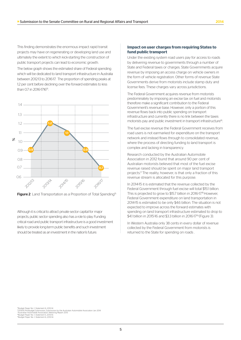This finding demonstrates the enormous impact rapid transit projects may have on regenerating or developing land use and ultimately the extent to which kick-starting the construction of public transport projects can lead to economic growth.

The below graph shows the estimated share of Federal spending which will be dedicated to land transport infrastructure in Australia between 2012-13 to 2016-17. The proportion of spending peaks at 12 per cent before declining over the forward estimates to less than 0.7 in 2016-1716<sup>16</sup>.



Figure 2 Land Transportation as a Proportion of Total Spending<sup>15</sup>

Although it is critical to attract private sector capital for major projects, public sector spending also has a role to play. Funding critical road and public transport infrastructure is a good investment likely to provide long-term public benefits and such investment should be treated as an investment in the nation's future.

#### **Impact on user charges from requiring States to fund public transport**

Under the existing system road users pay for access to roads by delivering revenue to governments through a number of State and Federal taxes or charges. State Governments acquire revenue by imposing an access charge on vehicle owners in the form of vehicle registration. Other forms of revenue State Governments derive from motorists include stamp duty and license fees. These charges vary across jurisdictions.

The Federal Government acquires revenue from motorists predominately by imposing an excise tax on fuel and motorists therefore make a significant contribution to the Federal Government's revenue base. However, only a portion of this revenue flows back into public spending on transport infrastructure and currently there is no link between the taxes motorists pay and public investment in transport infrastructure<sup>16</sup>.

The fuel excise revenue the Federal Government receives from road users is not earmarked for expenditure on the transport network and instead flows through to consolidated revenue, where the process of directing funding to land transport is complex and lacking in transparency.

Research conducted by the Australian Automobile Association in 2012 found that around 90 per cent of Australian motorists believed that most of the fuel excise revenue raised should be spent on major land transport projects.<sup>17</sup> The reality, however, is that only a fraction of this revenue stream is allocated for this purpose.

In 2014-15 it is estimated that the revenue collected by the Federal Government through fuel excise will total \$15.1 billion. This is projected to grow to \$15.7 billion in 2016-17.<sup>18</sup> However, Federal Government expenditure on land transportation in 2014-15 is estimated to be only \$4.6 billion. The situation is not expected to improve across the forward estimates with spending on land transport infrastructure estimated to drop to \$4.1 billion in 2015-16 and \$3.3 billion in 2016-17<sup>19</sup> (Figure 3).

In Western Australia only 38 cents in every dollar of revenue collected by the Federal Government from motorists is returned to the State for spending on roads .

®Budget Paper No. 1, Statement 6, 2013-14.<br>®2014-15 Pre-Budget Submission, Submission by the Australian Automobile Association Jan 2014<br>®Australian Automobile Association, Motoring Report 2013<br>®Budget Paper No. 1, Statemen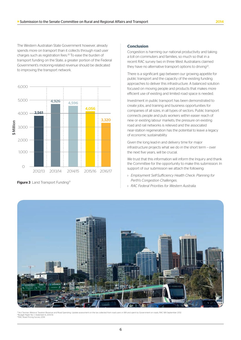The Western Australian State Government however, already spends more on transport than it collects through road user charges such as registration fees.20 To ease the burden of transport funding on the State, a greater portion of the Federal Government's motoring-related revenue should be dedicated to improving the transport network.



**Figure 3** Land Transport Funding<sup>21</sup>

#### **Conclusion**

Congestion is harming our national productivity and taking a toll on commuters and families, so much so that in a recent RAC survey two in three West Australians claimed they have no alternative transport options to driving<sup>22</sup>.

There is a significant gap between our growing appetite for public transport and the capacity of the existing funding approaches to deliver this infrastructure. A balanced solution focused on moving people and products that makes more efficient use of existing and limited road space is needed.

Investment in public transport has been demonstrated to create jobs, and training and business opportunities for companies of all sizes, in all types of sectors. Public transport connects people and puts workers within easier reach of new or existing labour markets; the pressure on existing road and rail networks is relieved and the associated near-station regeneration has the potential to leave a legacy of economic sustainability.

Given the long lead-in and delivery time for major infrastructure projects what we do in the short term – over the next five years, will be crucial.

We trust that this information will inform the Inquiry and thank the Committee for the opportunity to make this submission. In support of our submission we attach the following:

- › *Employment Self-Sufficiency Health Check: Planning for Perth's Congestion Challenges.*
- › *RAC Federal Priorities for Western Australia.*



tax collected from road users in WA and spent by Government on roads, RAC WA September 2012 21Budget Paper No. 1, Statement 6, 2013-14. 22RAC Road Pricing Survey 2014